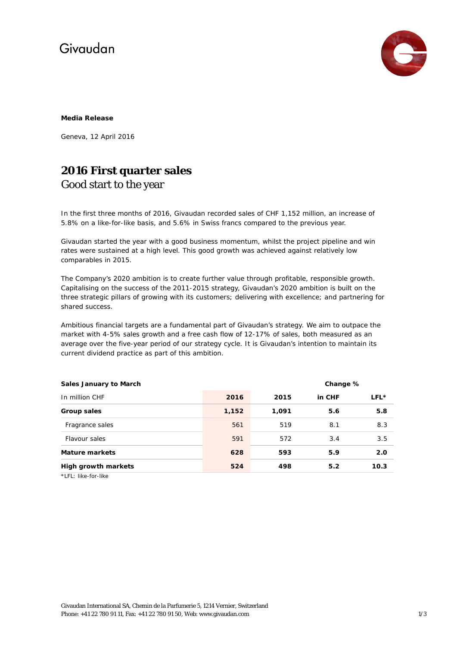# Givaudan



#### **Media Release**

Geneva, 12 April 2016

### **2016 First quarter sales**  Good start to the year

In the first three months of 2016, Givaudan recorded sales of CHF 1,152 million, an increase of 5.8% on a like-for-like basis, and 5.6% in Swiss francs compared to the previous year.

Givaudan started the year with a good business momentum, whilst the project pipeline and win rates were sustained at a high level. This good growth was achieved against relatively low comparables in 2015.

The Company's 2020 ambition is to create further value through profitable, responsible growth. Capitalising on the success of the 2011-2015 strategy, Givaudan's 2020 ambition is built on the three strategic pillars of growing with its customers; delivering with excellence; and partnering for shared success.

Ambitious financial targets are a fundamental part of Givaudan's strategy. We aim to outpace the market with 4-5% sales growth and a free cash flow of 12-17% of sales, both measured as an average over the five-year period of our strategy cycle. It is Givaudan's intention to maintain its current dividend practice as part of this ambition.

| <b>Sales January to March</b>      |       | Change % |        |      |
|------------------------------------|-------|----------|--------|------|
| In million CHF                     | 2016  | 2015     | in CHF | LFL* |
| Group sales                        | 1,152 | 1,091    | 5.6    | 5.8  |
| Fragrance sales                    | 561   | 519      | 8.1    | 8.3  |
| Flavour sales                      | 591   | 572      | 3.4    | 3.5  |
| <b>Mature markets</b>              | 628   | 593      | 5.9    | 2.0  |
| <b>High growth markets</b>         | 524   | 498      | 5.2    | 10.3 |
| $*$ $F1 \cdot$ $lika$ -for- $lika$ |       |          |        |      |

LFL: like-for-like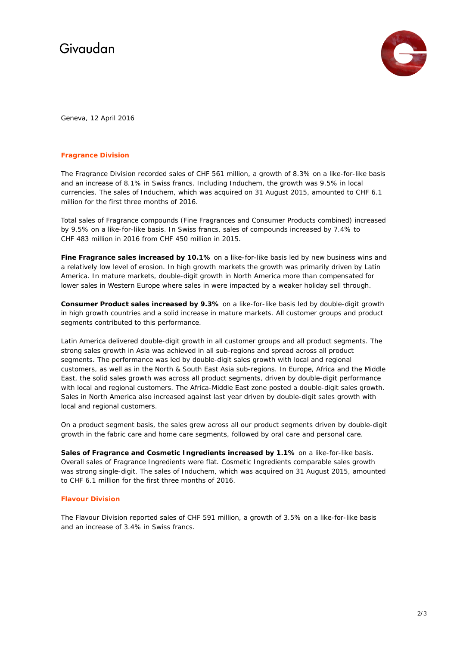# Givaudan



Geneva, 12 April 2016

#### **Fragrance Division**

The Fragrance Division recorded sales of CHF 561 million, a growth of 8.3% on a like-for-like basis and an increase of 8.1% in Swiss francs. Including Induchem, the growth was 9.5% in local currencies. The sales of Induchem, which was acquired on 31 August 2015, amounted to CHF 6.1 million for the first three months of 2016.

Total sales of Fragrance compounds (Fine Fragrances and Consumer Products combined) increased by 9.5% on a like-for-like basis. In Swiss francs, sales of compounds increased by 7.4% to CHF 483 million in 2016 from CHF 450 million in 2015.

**Fine Fragrance sales increased by 10.1%** on a like-for-like basis led by new business wins and a relatively low level of erosion. In high growth markets the growth was primarily driven by Latin America. In mature markets, double-digit growth in North America more than compensated for lower sales in Western Europe where sales in were impacted by a weaker holiday sell through.

**Consumer Product sales increased by 9.3%** on a like-for-like basis led by double-digit growth in high growth countries and a solid increase in mature markets. All customer groups and product segments contributed to this performance.

Latin America delivered double-digit growth in all customer groups and all product segments. The strong sales growth in Asia was achieved in all sub-regions and spread across all product segments. The performance was led by double-digit sales growth with local and regional customers, as well as in the North & South East Asia sub-regions. In Europe, Africa and the Middle East, the solid sales growth was across all product segments, driven by double-digit performance with local and regional customers. The Africa-Middle East zone posted a double-digit sales growth. Sales in North America also increased against last year driven by double-digit sales growth with local and regional customers.

On a product segment basis, the sales grew across all our product segments driven by double-digit growth in the fabric care and home care segments, followed by oral care and personal care.

**Sales of Fragrance and Cosmetic Ingredients increased by 1.1%** on a like-for-like basis. Overall sales of Fragrance Ingredients were flat. Cosmetic Ingredients comparable sales growth was strong single-digit. The sales of Induchem, which was acquired on 31 August 2015, amounted to CHF 6.1 million for the first three months of 2016.

#### **Flavour Division**

The Flavour Division reported sales of CHF 591 million, a growth of 3.5% on a like-for-like basis and an increase of 3.4% in Swiss francs.